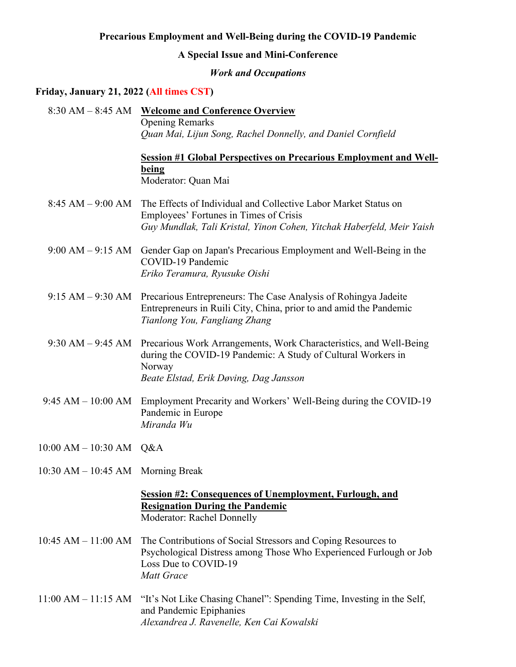# **Precarious Employment and Well-Being during the COVID-19 Pandemic**

### **A Special Issue and Mini-Conference**

### *Work and Occupations*

### **Friday, January 21, 2022 (All times CST)**

8:30 AM – 8:45 AM **Welcome and Conference Overview** Opening Remarks *Quan Mai, Lijun Song, Rachel Donnelly, and Daniel Cornfield*

# **Session #1 Global Perspectives on Precarious Employment and Wellbeing** Moderator: Quan Mai

- 8:45 AM 9:00 AM The Effects of Individual and Collective Labor Market Status on Employees' Fortunes in Times of Crisis *Guy Mundlak, Tali Kristal, Yinon Cohen, Yitchak Haberfeld, Meir Yaish*
- 9:00 AM 9:15 AM Gender Gap on Japan's Precarious Employment and Well-Being in the COVID-19 Pandemic *Eriko Teramura, Ryusuke Oishi*
- 9:15 AM 9:30 AM Precarious Entrepreneurs: The Case Analysis of Rohingya Jadeite Entrepreneurs in Ruili City, China, prior to and amid the Pandemic *Tianlong You, Fangliang Zhang*
- 9:30 AM 9:45 AM Precarious Work Arrangements, Work Characteristics, and Well-Being during the COVID-19 Pandemic: A Study of Cultural Workers in Norway *Beate Elstad, Erik Døving, Dag Jansson*
- 9:45 AM 10:00 AM Employment Precarity and Workers' Well-Being during the COVID-19 Pandemic in Europe *Miranda Wu*
- 10:00 AM 10:30 AM Q&A
- 10:30 AM 10:45 AM Morning Break

## **Session #2: Consequences of Unemployment, Furlough, and Resignation During the Pandemic** Moderator: Rachel Donnelly

- 10:45 AM 11:00 AM The Contributions of Social Stressors and Coping Resources to Psychological Distress among Those Who Experienced Furlough or Job Loss Due to COVID-19 *Matt Grace*
- 11:00 AM 11:15 AM "It's Not Like Chasing Chanel": Spending Time, Investing in the Self, and Pandemic Epiphanies *[Alexandrea J. Ravenelle,](https://sociology.unc.edu/people-page/alexandrea-ravenelle/) Ken Cai Kowalski*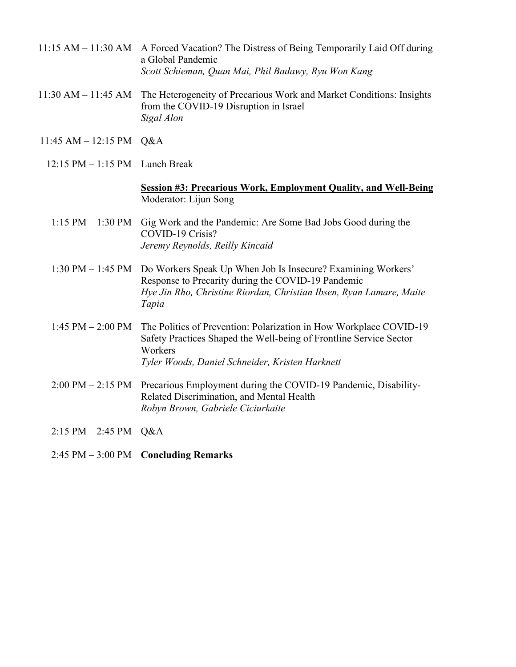- 11:15 AM 11:30 AM A Forced Vacation? The Distress of Being Temporarily Laid Off during a Global Pandemic *Scott Schieman, Quan Mai, Phil Badawy, Ryu Won Kang*
- 11:30 AM 11:45 AM The Heterogeneity of Precarious Work and Market Conditions: Insights from the COVID-19 Disruption in Israel *Sigal Alon*
- 11:45 AM 12:15 PM Q&A
	- 12:15 PM 1:15 PM Lunch Break

## **Session #3: Precarious Work, Employment Quality, and Well-Being** Moderator: Lijun Song

- 1:15 PM 1:30 PM Gig Work and the Pandemic: Are Some Bad Jobs Good during the COVID-19 Crisis? *Jeremy Reynolds, Reilly Kincaid*
- 1:30 PM 1:45 PM Do Workers Speak Up When Job Is Insecure? Examining Workers' Response to Precarity during the COVID-19 Pandemic *Hye Jin Rho, Christine Riordan, Christian Ibsen, Ryan Lamare, Maite Tapia*
- 1:45 PM 2:00 PM The Politics of Prevention: Polarization in How Workplace COVID-19 Safety Practices Shaped the Well-being of Frontline Service Sector Workers *Tyler Woods, Daniel Schneider, Kristen Harknett*
- 2:00 PM 2:15 PM Precarious Employment during the COVID-19 Pandemic, Disability-Related Discrimination, and Mental Health *Robyn Brown, Gabriele Ciciurkaite*
- 2:15 PM 2:45 PM Q&A
- 2:45 PM 3:00 PM **Concluding Remarks**